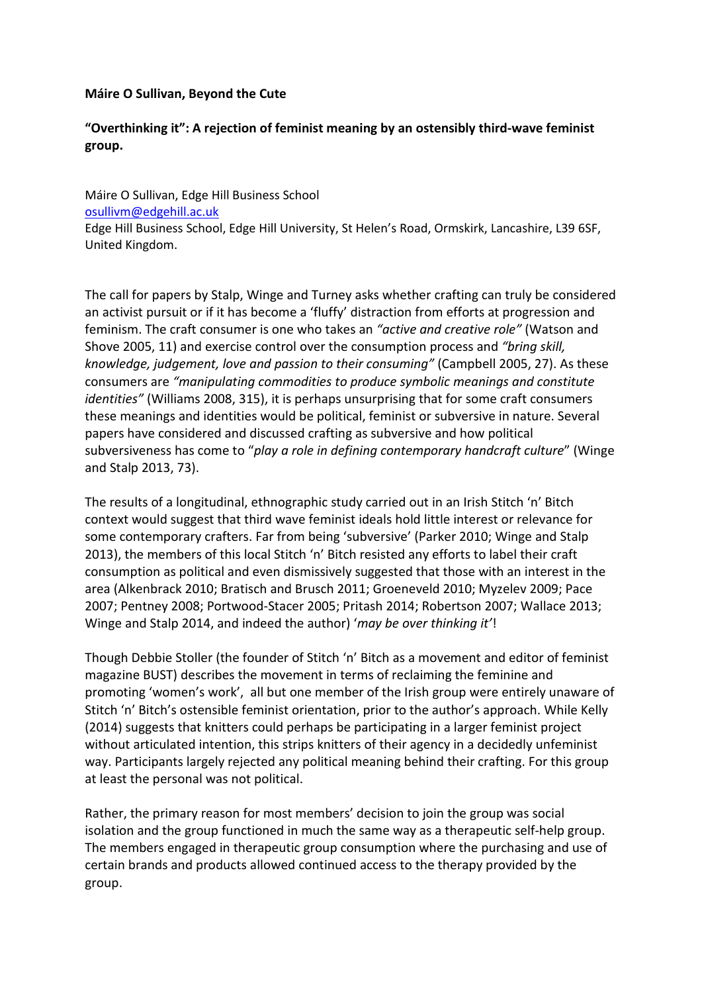## **Máire O Sullivan, Beyond the Cute**

## **"Overthinking it": A rejection of feminist meaning by an ostensibly third-wave feminist group.**

Máire O Sullivan, Edge Hill Business School [osullivm@edgehill.ac.uk](mailto:osullivm@edgehill.ac.uk) Edge Hill Business School, Edge Hill University, St Helen's Road, Ormskirk, Lancashire, L39 6SF, United Kingdom.

The call for papers by Stalp, Winge and Turney asks whether crafting can truly be considered an activist pursuit or if it has become a 'fluffy' distraction from efforts at progression and feminism. The craft consumer is one who takes an *"active and creative role"* (Watson and Shove 2005, 11) and exercise control over the consumption process and *"bring skill, knowledge, judgement, love and passion to their consuming"* (Campbell 2005, 27). As these consumers are *"manipulating commodities to produce symbolic meanings and constitute identities"* (Williams 2008, 315), it is perhaps unsurprising that for some craft consumers these meanings and identities would be political, feminist or subversive in nature. Several papers have considered and discussed crafting as subversive and how political subversiveness has come to "*play a role in defining contemporary handcraft culture*" (Winge and Stalp 2013, 73).

The results of a longitudinal, ethnographic study carried out in an Irish Stitch 'n' Bitch context would suggest that third wave feminist ideals hold little interest or relevance for some contemporary crafters. Far from being 'subversive' (Parker 2010; Winge and Stalp 2013), the members of this local Stitch 'n' Bitch resisted any efforts to label their craft consumption as political and even dismissively suggested that those with an interest in the area (Alkenbrack 2010; Bratisch and Brusch 2011; Groeneveld 2010; Myzelev 2009; Pace 2007; Pentney 2008; Portwood-Stacer 2005; Pritash 2014; Robertson 2007; Wallace 2013; Winge and Stalp 2014, and indeed the author) '*may be over thinking it'*!

Though Debbie Stoller (the founder of Stitch 'n' Bitch as a movement and editor of feminist magazine BUST) describes the movement in terms of reclaiming the feminine and promoting 'women's work', all but one member of the Irish group were entirely unaware of Stitch 'n' Bitch's ostensible feminist orientation, prior to the author's approach. While Kelly (2014) suggests that knitters could perhaps be participating in a larger feminist project without articulated intention, this strips knitters of their agency in a decidedly unfeminist way. Participants largely rejected any political meaning behind their crafting. For this group at least the personal was not political.

Rather, the primary reason for most members' decision to join the group was social isolation and the group functioned in much the same way as a therapeutic self-help group. The members engaged in therapeutic group consumption where the purchasing and use of certain brands and products allowed continued access to the therapy provided by the group.